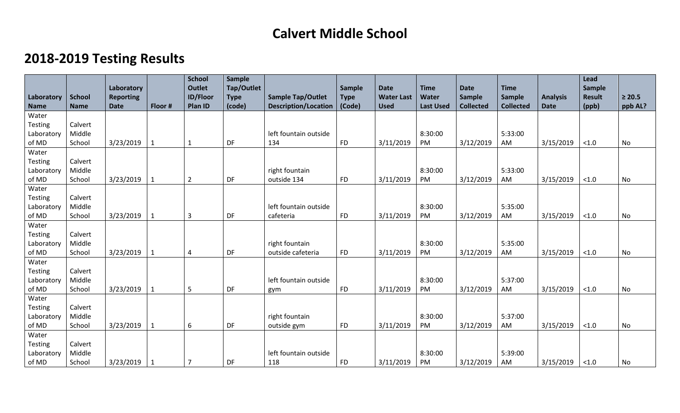## **Calvert Middle School**

## **2018-2019 Testing Results**

|                |               |                  |              | <b>School</b>   | <b>Sample</b> |                             |               |                   |                  |                  |                  |                 | Lead          |             |
|----------------|---------------|------------------|--------------|-----------------|---------------|-----------------------------|---------------|-------------------|------------------|------------------|------------------|-----------------|---------------|-------------|
|                |               | Laboratory       |              | <b>Outlet</b>   | Tap/Outlet    |                             | <b>Sample</b> | <b>Date</b>       | <b>Time</b>      | <b>Date</b>      | <b>Time</b>      |                 | Sample        |             |
| Laboratory     | <b>School</b> | <b>Reporting</b> |              | <b>ID/Floor</b> | <b>Type</b>   | <b>Sample Tap/Outlet</b>    | <b>Type</b>   | <b>Water Last</b> | <b>Water</b>     | <b>Sample</b>    | <b>Sample</b>    | <b>Analysis</b> | <b>Result</b> | $\geq 20.5$ |
| <b>Name</b>    | <b>Name</b>   | <b>Date</b>      | Floor #      | <b>Plan ID</b>  | (code)        | <b>Description/Location</b> | (Code)        | <b>Used</b>       | <b>Last Used</b> | <b>Collected</b> | <b>Collected</b> | <b>Date</b>     | (ppb)         | ppb AL?     |
| Water          |               |                  |              |                 |               |                             |               |                   |                  |                  |                  |                 |               |             |
| Testing        | Calvert       |                  |              |                 |               |                             |               |                   |                  |                  |                  |                 |               |             |
| Laboratory     | Middle        |                  |              |                 |               | left fountain outside       |               |                   | 8:30:00          |                  | 5:33:00          |                 |               |             |
| of MD          | School        | 3/23/2019        | $\mathbf{1}$ | 1               | DF            | 134                         | <b>FD</b>     | 3/11/2019         | PM               | 3/12/2019        | AM               | 3/15/2019       | $<1.0$        | No          |
| Water          |               |                  |              |                 |               |                             |               |                   |                  |                  |                  |                 |               |             |
| Testing        | Calvert       |                  |              |                 |               |                             |               |                   |                  |                  |                  |                 |               |             |
| Laboratory     | Middle        |                  |              |                 |               | right fountain              |               |                   | 8:30:00          |                  | 5:33:00          |                 |               |             |
| of MD          | School        | 3/23/2019        | $\mathbf{1}$ | $\overline{2}$  | DF            | outside 134                 | <b>FD</b>     | 3/11/2019         | <b>PM</b>        | 3/12/2019        | AM               | 3/15/2019       | < 1.0         | <b>No</b>   |
| Water          |               |                  |              |                 |               |                             |               |                   |                  |                  |                  |                 |               |             |
| Testing        | Calvert       |                  |              |                 |               |                             |               |                   |                  |                  |                  |                 |               |             |
| Laboratory     | Middle        |                  |              |                 |               | left fountain outside       |               |                   | 8:30:00          |                  | 5:35:00          |                 |               |             |
| of MD          | School        | 3/23/2019        | $\mathbf{1}$ | $\overline{3}$  | DF            | cafeteria                   | <b>FD</b>     | 3/11/2019         | PM               | 3/12/2019        | AM               | 3/15/2019       | < 1.0         | <b>No</b>   |
| Water          |               |                  |              |                 |               |                             |               |                   |                  |                  |                  |                 |               |             |
| Testing        | Calvert       |                  |              |                 |               |                             |               |                   |                  |                  |                  |                 |               |             |
| Laboratory     | Middle        |                  |              |                 |               | right fountain              |               |                   | 8:30:00          |                  | 5:35:00          |                 |               |             |
| of MD          | School        | 3/23/2019        | 1            | 4               | DF            | outside cafeteria           | <b>FD</b>     | 3/11/2019         | PM               | 3/12/2019        | <b>AM</b>        | 3/15/2019       | < 1.0         | No          |
| Water          |               |                  |              |                 |               |                             |               |                   |                  |                  |                  |                 |               |             |
| <b>Testing</b> | Calvert       |                  |              |                 |               |                             |               |                   |                  |                  |                  |                 |               |             |
| Laboratory     | Middle        |                  |              |                 |               | left fountain outside       |               |                   | 8:30:00          |                  | 5:37:00          |                 |               |             |
| of MD          | School        | 3/23/2019        | $\mathbf{1}$ | 5               | DF            | gym                         | <b>FD</b>     | 3/11/2019         | PM               | 3/12/2019        | AM               | 3/15/2019       | $<1.0$        | No          |
| Water          |               |                  |              |                 |               |                             |               |                   |                  |                  |                  |                 |               |             |
| <b>Testing</b> | Calvert       |                  |              |                 |               |                             |               |                   |                  |                  |                  |                 |               |             |
| Laboratory     | Middle        |                  |              |                 |               | right fountain              |               |                   | 8:30:00          |                  | 5:37:00          |                 |               |             |
| of MD          | School        | 3/23/2019        | $\mathbf{1}$ | 6               | DF            | outside gym                 | <b>FD</b>     | 3/11/2019         | PM               | 3/12/2019        | AM               | 3/15/2019       | $<1.0$        | <b>No</b>   |
| Water          |               |                  |              |                 |               |                             |               |                   |                  |                  |                  |                 |               |             |
| Testing        | Calvert       |                  |              |                 |               |                             |               |                   |                  |                  |                  |                 |               |             |
| Laboratory     | Middle        |                  |              |                 |               | left fountain outside       |               |                   | 8:30:00          |                  | 5:39:00          |                 |               |             |
| of MD          | School        | 3/23/2019        | 1            | 7               | DF            | 118                         | <b>FD</b>     | 3/11/2019         | PM               | 3/12/2019        | AM               | 3/15/2019       | < 1.0         | No          |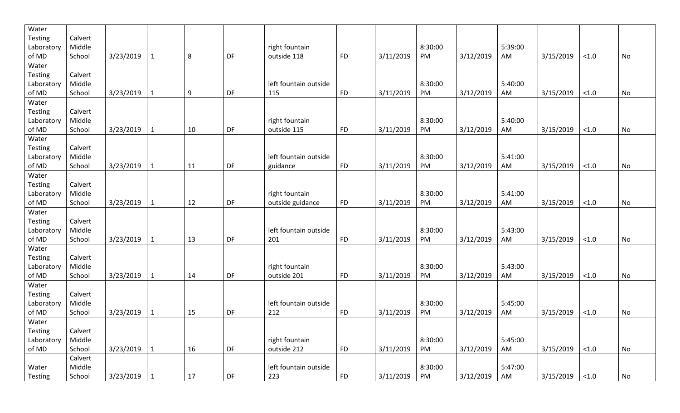| <b>Testing</b><br>Calvert<br>Middle<br>right fountain<br>5:39:00<br>8:30:00<br>Laboratory<br>DF<br>AM<br>of MD<br>School<br>3/23/2019<br>8<br><b>FD</b><br>3/11/2019<br>PM<br>3/12/2019<br>3/15/2019<br>outside 118<br>No<br>-1<br>< 1.0<br>Water<br><b>Testing</b><br>Calvert |  |
|--------------------------------------------------------------------------------------------------------------------------------------------------------------------------------------------------------------------------------------------------------------------------------|--|
|                                                                                                                                                                                                                                                                                |  |
|                                                                                                                                                                                                                                                                                |  |
|                                                                                                                                                                                                                                                                                |  |
|                                                                                                                                                                                                                                                                                |  |
|                                                                                                                                                                                                                                                                                |  |
| Middle<br>left fountain outside<br>8:30:00<br>5:40:00<br>Laboratory                                                                                                                                                                                                            |  |
| 9<br>DF<br>AM<br>of MD<br>School<br>3/23/2019<br>115<br><b>FD</b><br>3/11/2019<br>PM<br>3/12/2019<br>3/15/2019<br>$\mathbf{1}$<br>$<1.0$<br>No                                                                                                                                 |  |
| Water                                                                                                                                                                                                                                                                          |  |
| <b>Testing</b><br>Calvert                                                                                                                                                                                                                                                      |  |
| 5:40:00<br>Middle<br>right fountain<br>8:30:00<br>Laboratory                                                                                                                                                                                                                   |  |
| of MD<br>School<br>3/23/2019<br>10<br>DF<br><b>FD</b><br>3/11/2019<br>PM<br>3/12/2019<br>AM<br>3/15/2019<br>No<br>outside 115<br>< 1.0<br>$\mathbf 1$                                                                                                                          |  |
| Water                                                                                                                                                                                                                                                                          |  |
| <b>Testing</b><br>Calvert                                                                                                                                                                                                                                                      |  |
| Middle<br>left fountain outside<br>8:30:00<br>5:41:00<br>Laboratory                                                                                                                                                                                                            |  |
| DF<br>of MD<br>School<br>3/23/2019<br>11<br><b>FD</b><br>3/11/2019<br>PM<br>3/12/2019<br>AM<br>3/15/2019<br>< 1.0<br>No<br>$\mathbf{1}$<br>guidance                                                                                                                            |  |
| Water                                                                                                                                                                                                                                                                          |  |
| <b>Testing</b><br>Calvert                                                                                                                                                                                                                                                      |  |
| Middle<br>right fountain<br>8:30:00<br>5:41:00<br>Laboratory                                                                                                                                                                                                                   |  |
| DF<br>of MD<br>School<br>3/23/2019<br>12<br><b>FD</b><br>3/11/2019<br>PM<br>3/12/2019<br>AM<br>3/15/2019<br>No<br>outside guidance<br>$<1.0$<br>1                                                                                                                              |  |
| Water                                                                                                                                                                                                                                                                          |  |
| Testing<br>Calvert                                                                                                                                                                                                                                                             |  |
| 8:30:00<br>5:43:00<br>Middle<br>left fountain outside<br>Laboratory                                                                                                                                                                                                            |  |
| 3/23/2019<br>13<br>DF<br>of MD<br>School<br><b>FD</b><br>3/11/2019<br>PM<br>3/12/2019<br>AM<br>3/15/2019<br>No<br>201<br>< 1.0<br>$\mathbf{1}$                                                                                                                                 |  |
| Water                                                                                                                                                                                                                                                                          |  |
| <b>Testing</b><br>Calvert                                                                                                                                                                                                                                                      |  |
| right fountain<br>8:30:00<br>5:43:00<br>Middle<br>Laboratory                                                                                                                                                                                                                   |  |
| DF<br>of MD<br>3/23/2019<br>14<br><b>FD</b><br>3/11/2019<br>PM<br>3/12/2019<br>AM<br>3/15/2019<br>No<br>School<br>outside 201<br>< 1.0<br>1                                                                                                                                    |  |
| Water                                                                                                                                                                                                                                                                          |  |
| <b>Testing</b><br>Calvert                                                                                                                                                                                                                                                      |  |
| Middle<br>8:30:00<br>5:45:00<br>left fountain outside<br>Laboratory                                                                                                                                                                                                            |  |
| of MD<br>3/23/2019<br>15<br>DF<br>212<br><b>FD</b><br>3/11/2019<br>PM<br>3/12/2019<br>3/15/2019<br>No<br>School<br>AM<br>< 1.0                                                                                                                                                 |  |
| Water                                                                                                                                                                                                                                                                          |  |
| Testing<br>Calvert                                                                                                                                                                                                                                                             |  |
| Middle<br>5:45:00<br>right fountain<br>8:30:00<br>Laboratory                                                                                                                                                                                                                   |  |
| DF<br>16<br>AM<br>No<br>of MD<br>School<br>3/23/2019<br>outside 212<br><b>FD</b><br>3/11/2019<br>PM<br>3/12/2019<br>3/15/2019<br>$<1.0$<br>$\mathbf{1}$                                                                                                                        |  |
| Calvert                                                                                                                                                                                                                                                                        |  |
| 5:47:00<br>Middle<br>left fountain outside<br>8:30:00<br>Water                                                                                                                                                                                                                 |  |
| ${\sf FD}$<br>3/23/2019<br>17<br>DF<br>223<br>3/11/2019<br>PM<br>3/12/2019<br>AM<br>School<br>3/15/2019<br>$<1.0$<br>No<br>Testing<br>$\mathbf 1$                                                                                                                              |  |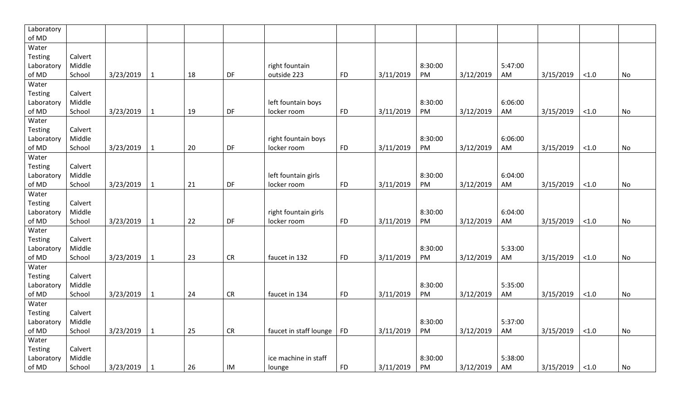| Laboratory |         |           |              |    |           |                        |           |           |         |           |         |           |        |           |
|------------|---------|-----------|--------------|----|-----------|------------------------|-----------|-----------|---------|-----------|---------|-----------|--------|-----------|
| of MD      |         |           |              |    |           |                        |           |           |         |           |         |           |        |           |
| Water      |         |           |              |    |           |                        |           |           |         |           |         |           |        |           |
| Testing    | Calvert |           |              |    |           |                        |           |           |         |           |         |           |        |           |
| Laboratory | Middle  |           |              |    |           | right fountain         |           |           | 8:30:00 |           | 5:47:00 |           |        |           |
| of MD      | School  | 3/23/2019 | $\mathbf{1}$ | 18 | DF        | outside 223            | <b>FD</b> | 3/11/2019 | PM      | 3/12/2019 | AM      | 3/15/2019 | $<1.0$ | No        |
| Water      |         |           |              |    |           |                        |           |           |         |           |         |           |        |           |
| Testing    | Calvert |           |              |    |           |                        |           |           |         |           |         |           |        |           |
| Laboratory | Middle  |           |              |    |           | left fountain boys     |           |           | 8:30:00 |           | 6:06:00 |           |        |           |
| of MD      | School  | 3/23/2019 | $\mathbf{1}$ | 19 | DF        | locker room            | <b>FD</b> | 3/11/2019 | PM      | 3/12/2019 | AM      | 3/15/2019 | < 1.0  | No        |
| Water      |         |           |              |    |           |                        |           |           |         |           |         |           |        |           |
| Testing    | Calvert |           |              |    |           |                        |           |           |         |           |         |           |        |           |
| Laboratory | Middle  |           |              |    |           | right fountain boys    |           |           | 8:30:00 |           | 6:06:00 |           |        |           |
| of MD      | School  | 3/23/2019 | $\mathbf{1}$ | 20 | DF        | locker room            | <b>FD</b> | 3/11/2019 | PM      | 3/12/2019 | AM      | 3/15/2019 | $<1.0$ | No        |
| Water      |         |           |              |    |           |                        |           |           |         |           |         |           |        |           |
| Testing    | Calvert |           |              |    |           |                        |           |           |         |           |         |           |        |           |
| Laboratory | Middle  |           |              |    |           | left fountain girls    |           |           | 8:30:00 |           | 6:04:00 |           |        |           |
| of MD      | School  | 3/23/2019 | $\mathbf{1}$ | 21 | DF        | locker room            | <b>FD</b> | 3/11/2019 | PM      | 3/12/2019 | AM      | 3/15/2019 | $<1.0$ | No        |
| Water      |         |           |              |    |           |                        |           |           |         |           |         |           |        |           |
| Testing    | Calvert |           |              |    |           |                        |           |           |         |           |         |           |        |           |
| Laboratory | Middle  |           |              |    |           | right fountain girls   |           |           | 8:30:00 |           | 6:04:00 |           |        |           |
| of MD      | School  | 3/23/2019 | $\mathbf{1}$ | 22 | DF        | locker room            | <b>FD</b> | 3/11/2019 | PM      | 3/12/2019 | AM      | 3/15/2019 | < 1.0  | No        |
| Water      |         |           |              |    |           |                        |           |           |         |           |         |           |        |           |
| Testing    | Calvert |           |              |    |           |                        |           |           |         |           |         |           |        |           |
| Laboratory | Middle  |           |              |    |           |                        |           |           | 8:30:00 |           | 5:33:00 |           |        |           |
| of MD      | School  | 3/23/2019 | $\mathbf{1}$ | 23 | CR        | faucet in 132          | <b>FD</b> | 3/11/2019 | PM      | 3/12/2019 | AM      | 3/15/2019 | $<1.0$ | No        |
| Water      |         |           |              |    |           |                        |           |           |         |           |         |           |        |           |
| Testing    | Calvert |           |              |    |           |                        |           |           |         |           |         |           |        |           |
| Laboratory | Middle  |           |              |    |           |                        |           |           | 8:30:00 |           | 5:35:00 |           |        |           |
| of $MD$    | School  | 3/23/2019 | $\mathbf{1}$ | 24 | <b>CR</b> | faucet in 134          | <b>FD</b> | 3/11/2019 | PM      | 3/12/2019 | AM      | 3/15/2019 | < 1.0  | <b>No</b> |
| Water      |         |           |              |    |           |                        |           |           |         |           |         |           |        |           |
| Testing    | Calvert |           |              |    |           |                        |           |           |         |           |         |           |        |           |
| Laboratory | Middle  |           |              |    |           |                        |           |           | 8:30:00 |           | 5:37:00 |           |        |           |
| of MD      | School  | 3/23/2019 | $1\,$        | 25 | <b>CR</b> | faucet in staff lounge | <b>FD</b> | 3/11/2019 | PM      | 3/12/2019 | AM      | 3/15/2019 | $<1.0$ | No        |
| Water      |         |           |              |    |           |                        |           |           |         |           |         |           |        |           |
| Testing    | Calvert |           |              |    |           |                        |           |           |         |           |         |           |        |           |
| Laboratory | Middle  |           |              |    |           | ice machine in staff   |           |           | 8:30:00 |           | 5:38:00 |           |        |           |
| of MD      | School  | 3/23/2019 | $\mathbf{1}$ | 26 | IM        | lounge                 | <b>FD</b> | 3/11/2019 | PM      | 3/12/2019 | AM      | 3/15/2019 | < 1.0  | No        |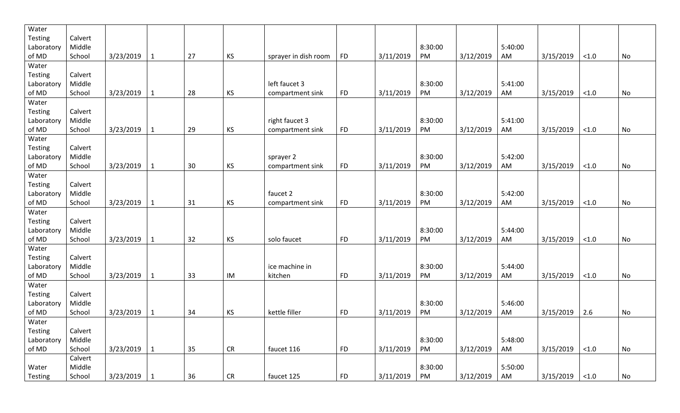| Water          |         |           |              |    |           |                      |           |           |         |           |         |           |        |    |
|----------------|---------|-----------|--------------|----|-----------|----------------------|-----------|-----------|---------|-----------|---------|-----------|--------|----|
| <b>Testing</b> | Calvert |           |              |    |           |                      |           |           |         |           |         |           |        |    |
| Laboratory     | Middle  |           |              |    |           |                      |           |           | 8:30:00 |           | 5:40:00 |           |        |    |
| of MD          | School  | 3/23/2019 | $\mathbf{1}$ | 27 | KS        | sprayer in dish room | <b>FD</b> | 3/11/2019 | PM      | 3/12/2019 | AM      | 3/15/2019 | < 1.0  | No |
| Water          |         |           |              |    |           |                      |           |           |         |           |         |           |        |    |
| Testing        | Calvert |           |              |    |           |                      |           |           |         |           |         |           |        |    |
| Laboratory     | Middle  |           |              |    |           | left faucet 3        |           |           | 8:30:00 |           | 5:41:00 |           |        |    |
| of MD          | School  | 3/23/2019 | $\mathbf{1}$ | 28 | KS        | compartment sink     | <b>FD</b> | 3/11/2019 | PM      | 3/12/2019 | AM      | 3/15/2019 | < 1.0  | No |
| Water          |         |           |              |    |           |                      |           |           |         |           |         |           |        |    |
| <b>Testing</b> | Calvert |           |              |    |           |                      |           |           |         |           |         |           |        |    |
| Laboratory     | Middle  |           |              |    |           | right faucet 3       |           |           | 8:30:00 |           | 5:41:00 |           |        |    |
| of MD          | School  | 3/23/2019 | $\mathbf{1}$ | 29 | KS        | compartment sink     | <b>FD</b> | 3/11/2019 | PM      | 3/12/2019 | AM      | 3/15/2019 | < 1.0  | No |
| Water          |         |           |              |    |           |                      |           |           |         |           |         |           |        |    |
| <b>Testing</b> | Calvert |           |              |    |           |                      |           |           |         |           |         |           |        |    |
| Laboratory     | Middle  |           |              |    |           | sprayer 2            |           |           | 8:30:00 |           | 5:42:00 |           |        |    |
| of MD          | School  | 3/23/2019 | $\mathbf{1}$ | 30 | KS        | compartment sink     | <b>FD</b> | 3/11/2019 | PM      | 3/12/2019 | AM      | 3/15/2019 | < 1.0  | No |
| Water          |         |           |              |    |           |                      |           |           |         |           |         |           |        |    |
| <b>Testing</b> | Calvert |           |              |    |           |                      |           |           |         |           |         |           |        |    |
| Laboratory     | Middle  |           |              |    |           | faucet 2             |           |           | 8:30:00 |           | 5:42:00 |           |        |    |
| of MD          | School  | 3/23/2019 | $\mathbf{1}$ | 31 | KS        | compartment sink     | <b>FD</b> | 3/11/2019 | PM      | 3/12/2019 | AM      | 3/15/2019 | < 1.0  | No |
| Water          |         |           |              |    |           |                      |           |           |         |           |         |           |        |    |
| <b>Testing</b> | Calvert |           |              |    |           |                      |           |           |         |           |         |           |        |    |
| Laboratory     | Middle  |           |              |    |           |                      |           |           | 8:30:00 |           | 5:44:00 |           |        |    |
| of MD          | School  | 3/23/2019 | $\mathbf{1}$ | 32 | KS        | solo faucet          | <b>FD</b> | 3/11/2019 | PM      | 3/12/2019 | AM      | 3/15/2019 | < 1.0  | No |
| Water          |         |           |              |    |           |                      |           |           |         |           |         |           |        |    |
| <b>Testing</b> | Calvert |           |              |    |           |                      |           |           |         |           |         |           |        |    |
| Laboratory     | Middle  |           |              |    |           | ice machine in       |           |           | 8:30:00 |           | 5:44:00 |           |        |    |
| of MD          | School  | 3/23/2019 | $\mathbf{1}$ | 33 | IM        | kitchen              | <b>FD</b> | 3/11/2019 | PM      | 3/12/2019 | AM      | 3/15/2019 | < 1.0  | No |
| Water          |         |           |              |    |           |                      |           |           |         |           |         |           |        |    |
| <b>Testing</b> | Calvert |           |              |    |           |                      |           |           |         |           |         |           |        |    |
| Laboratory     | Middle  |           |              |    |           |                      |           |           | 8:30:00 |           | 5:46:00 |           |        |    |
| of MD          | School  | 3/23/2019 | $\mathbf{1}$ | 34 | <b>KS</b> | kettle filler        | <b>FD</b> | 3/11/2019 | PM      | 3/12/2019 | AM      | 3/15/2019 | 2.6    | No |
| Water          |         |           |              |    |           |                      |           |           |         |           |         |           |        |    |
| Testing        | Calvert |           |              |    |           |                      |           |           |         |           |         |           |        |    |
| Laboratory     | Middle  |           |              |    |           |                      |           |           | 8:30:00 |           | 5:48:00 |           |        |    |
| of MD          | School  | 3/23/2019 | $\mathbf{1}$ | 35 | CR        | faucet 116           | <b>FD</b> | 3/11/2019 | PM      | 3/12/2019 | AM      | 3/15/2019 | $<1.0$ | No |
|                | Calvert |           |              |    |           |                      |           |           |         |           |         |           |        |    |
| Water          |         |           |              |    |           |                      |           |           |         |           |         |           |        |    |
|                | Middle  |           |              |    |           |                      |           |           | 8:30:00 |           | 5:50:00 |           |        |    |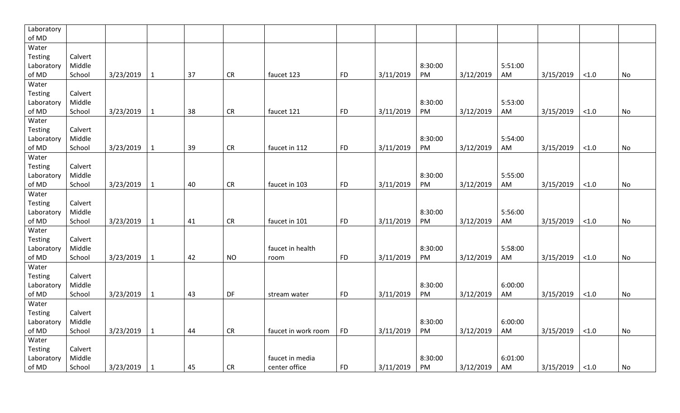| Laboratory     |         |           |              |    |           |                     |           |           |         |           |         |           |        |    |
|----------------|---------|-----------|--------------|----|-----------|---------------------|-----------|-----------|---------|-----------|---------|-----------|--------|----|
| of $MD$        |         |           |              |    |           |                     |           |           |         |           |         |           |        |    |
| Water          |         |           |              |    |           |                     |           |           |         |           |         |           |        |    |
| Testing        | Calvert |           |              |    |           |                     |           |           |         |           |         |           |        |    |
| Laboratory     | Middle  |           |              |    |           |                     |           |           | 8:30:00 |           | 5:51:00 |           |        |    |
| of MD          | School  | 3/23/2019 | $\mathbf{1}$ | 37 | CR        | faucet 123          | <b>FD</b> | 3/11/2019 | PM      | 3/12/2019 | AM      | 3/15/2019 | $<1.0$ | No |
| Water          |         |           |              |    |           |                     |           |           |         |           |         |           |        |    |
| Testing        | Calvert |           |              |    |           |                     |           |           |         |           |         |           |        |    |
| Laboratory     | Middle  |           |              |    |           |                     |           |           | 8:30:00 |           | 5:53:00 |           |        |    |
| of MD          | School  | 3/23/2019 | $\mathbf{1}$ | 38 | CR        | faucet 121          | <b>FD</b> | 3/11/2019 | PM      | 3/12/2019 | AM      | 3/15/2019 | < 1.0  | No |
| Water          |         |           |              |    |           |                     |           |           |         |           |         |           |        |    |
| Testing        | Calvert |           |              |    |           |                     |           |           |         |           |         |           |        |    |
| Laboratory     | Middle  |           |              |    |           |                     |           |           | 8:30:00 |           | 5:54:00 |           |        |    |
| of MD          | School  | 3/23/2019 | $\mathbf{1}$ | 39 | CR        | faucet in 112       | <b>FD</b> | 3/11/2019 | PM      | 3/12/2019 | AM      | 3/15/2019 | $<1.0$ | No |
| Water          |         |           |              |    |           |                     |           |           |         |           |         |           |        |    |
| <b>Testing</b> | Calvert |           |              |    |           |                     |           |           |         |           |         |           |        |    |
| Laboratory     | Middle  |           |              |    |           |                     |           |           | 8:30:00 |           | 5:55:00 |           |        |    |
| of MD          | School  | 3/23/2019 | $\mathbf{1}$ | 40 | <b>CR</b> | faucet in 103       | <b>FD</b> | 3/11/2019 | PM      | 3/12/2019 | AM      | 3/15/2019 | < 1.0  | No |
| Water          |         |           |              |    |           |                     |           |           |         |           |         |           |        |    |
| Testing        | Calvert |           |              |    |           |                     |           |           |         |           |         |           |        |    |
| Laboratory     | Middle  |           |              |    |           |                     |           |           | 8:30:00 |           | 5:56:00 |           |        |    |
| of MD          | School  | 3/23/2019 | 1            | 41 | CR        | faucet in 101       | <b>FD</b> | 3/11/2019 | PM      | 3/12/2019 | AM      | 3/15/2019 | $<1.0$ | No |
| Water          |         |           |              |    |           |                     |           |           |         |           |         |           |        |    |
| <b>Testing</b> | Calvert |           |              |    |           |                     |           |           |         |           |         |           |        |    |
| Laboratory     | Middle  |           |              |    |           | faucet in health    |           |           | 8:30:00 |           | 5:58:00 |           |        |    |
| of MD          | School  | 3/23/2019 | $\mathbf{1}$ | 42 | <b>NO</b> | room                | <b>FD</b> | 3/11/2019 | PM      | 3/12/2019 | AM      | 3/15/2019 | < 1.0  | No |
| Water          |         |           |              |    |           |                     |           |           |         |           |         |           |        |    |
| Testing        | Calvert |           |              |    |           |                     |           |           |         |           |         |           |        |    |
| Laboratory     | Middle  |           |              |    |           |                     |           |           | 8:30:00 |           | 6:00:00 |           |        |    |
| of MD          | School  | 3/23/2019 | 1            | 43 | DF        | stream water        | <b>FD</b> | 3/11/2019 | PM      | 3/12/2019 | AM      | 3/15/2019 | < 1.0  | No |
| Water          |         |           |              |    |           |                     |           |           |         |           |         |           |        |    |
| Testing        | Calvert |           |              |    |           |                     |           |           |         |           |         |           |        |    |
| Laboratory     | Middle  |           |              |    |           |                     |           |           | 8:30:00 |           | 6:00:00 |           |        |    |
| of MD          | School  | 3/23/2019 | $\mathbf{1}$ | 44 | CR        | faucet in work room | <b>FD</b> | 3/11/2019 | PM      | 3/12/2019 | AM      | 3/15/2019 | $<1.0$ | No |
| Water          |         |           |              |    |           |                     |           |           |         |           |         |           |        |    |
| Testing        | Calvert |           |              |    |           |                     |           |           |         |           |         |           |        |    |
| Laboratory     | Middle  |           |              |    |           | faucet in media     |           |           | 8:30:00 |           | 6:01:00 |           |        |    |
| of MD          | School  | 3/23/2019 | 1            | 45 | <b>CR</b> | center office       | <b>FD</b> | 3/11/2019 | PM      | 3/12/2019 | AM      | 3/15/2019 | < 1.0  | No |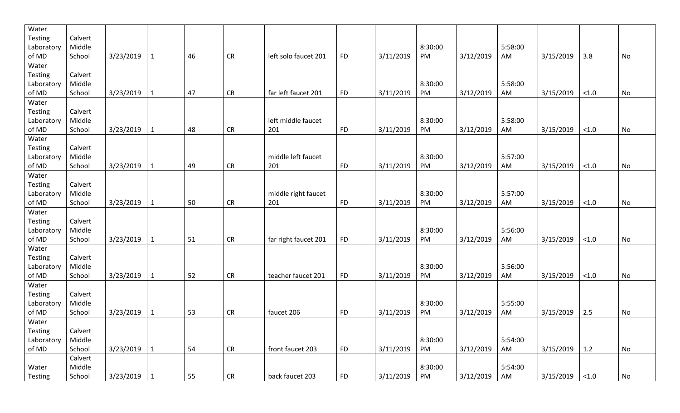| Water          |         |           |              |    |            |                      |           |           |         |           |         |           |       |           |
|----------------|---------|-----------|--------------|----|------------|----------------------|-----------|-----------|---------|-----------|---------|-----------|-------|-----------|
| <b>Testing</b> | Calvert |           |              |    |            |                      |           |           |         |           |         |           |       |           |
| Laboratory     | Middle  |           |              |    |            |                      |           |           | 8:30:00 |           | 5:58:00 |           |       |           |
| of MD          | School  | 3/23/2019 | $\mathbf{1}$ | 46 | <b>CR</b>  | left solo faucet 201 | <b>FD</b> | 3/11/2019 | PM      | 3/12/2019 | AM      | 3/15/2019 | 3.8   | No        |
| Water          |         |           |              |    |            |                      |           |           |         |           |         |           |       |           |
| Testing        | Calvert |           |              |    |            |                      |           |           |         |           |         |           |       |           |
| Laboratory     | Middle  |           |              |    |            |                      |           |           | 8:30:00 |           | 5:58:00 |           |       |           |
| of MD          | School  | 3/23/2019 | $\mathbf{1}$ | 47 | <b>CR</b>  | far left faucet 201  | <b>FD</b> | 3/11/2019 | PM      | 3/12/2019 | AM      | 3/15/2019 | < 1.0 | <b>No</b> |
| Water          |         |           |              |    |            |                      |           |           |         |           |         |           |       |           |
| Testing        | Calvert |           |              |    |            |                      |           |           |         |           |         |           |       |           |
| Laboratory     | Middle  |           |              |    |            | left middle faucet   |           |           | 8:30:00 |           | 5:58:00 |           |       |           |
| of MD          | School  | 3/23/2019 | $\mathbf{1}$ | 48 | <b>CR</b>  | 201                  | <b>FD</b> | 3/11/2019 | PM      | 3/12/2019 | AM      | 3/15/2019 | < 1.0 | No        |
| Water          |         |           |              |    |            |                      |           |           |         |           |         |           |       |           |
| Testing        | Calvert |           |              |    |            |                      |           |           |         |           |         |           |       |           |
| Laboratory     | Middle  |           |              |    |            | middle left faucet   |           |           | 8:30:00 |           | 5:57:00 |           |       |           |
| of MD          | School  | 3/23/2019 | $\mathbf{1}$ | 49 | <b>CR</b>  | 201                  | <b>FD</b> | 3/11/2019 | PM      | 3/12/2019 | AM      | 3/15/2019 | < 1.0 | <b>No</b> |
| Water          |         |           |              |    |            |                      |           |           |         |           |         |           |       |           |
| Testing        | Calvert |           |              |    |            |                      |           |           |         |           |         |           |       |           |
| Laboratory     | Middle  |           |              |    |            | middle right faucet  |           |           | 8:30:00 |           | 5:57:00 |           |       |           |
| of MD          | School  | 3/23/2019 | $\mathbf{1}$ | 50 | <b>CR</b>  | 201                  | <b>FD</b> | 3/11/2019 | PM      | 3/12/2019 | AM      | 3/15/2019 | < 1.0 | No        |
| Water          |         |           |              |    |            |                      |           |           |         |           |         |           |       |           |
| Testing        | Calvert |           |              |    |            |                      |           |           |         |           |         |           |       |           |
| Laboratory     | Middle  |           |              |    |            |                      |           |           | 8:30:00 |           | 5:56:00 |           |       |           |
| of MD          | School  | 3/23/2019 | $\mathbf{1}$ | 51 | <b>CR</b>  | far right faucet 201 | <b>FD</b> | 3/11/2019 | PM      | 3/12/2019 | AM      | 3/15/2019 | < 1.0 | No        |
| Water          |         |           |              |    |            |                      |           |           |         |           |         |           |       |           |
| Testing        | Calvert |           |              |    |            |                      |           |           |         |           |         |           |       |           |
| Laboratory     | Middle  |           |              |    |            |                      |           |           | 8:30:00 |           | 5:56:00 |           |       |           |
| of MD          | School  | 3/23/2019 | $\mathbf{1}$ | 52 | <b>CR</b>  | teacher faucet 201   | <b>FD</b> | 3/11/2019 | PM      | 3/12/2019 | AM      | 3/15/2019 | < 1.0 | No        |
| Water          |         |           |              |    |            |                      |           |           |         |           |         |           |       |           |
| Testing        | Calvert |           |              |    |            |                      |           |           |         |           |         |           |       |           |
| Laboratory     | Middle  |           |              |    |            |                      |           |           | 8:30:00 |           | 5:55:00 |           |       |           |
| of MD          | School  | 3/23/2019 | $\mathbf{1}$ | 53 | <b>CR</b>  | faucet 206           | <b>FD</b> | 3/11/2019 | PM      | 3/12/2019 | AM      | 3/15/2019 | 2.5   | No        |
| Water          |         |           |              |    |            |                      |           |           |         |           |         |           |       |           |
| Testing        | Calvert |           |              |    |            |                      |           |           |         |           |         |           |       |           |
| Laboratory     | Middle  |           |              |    |            |                      |           |           | 8:30:00 |           | 5:54:00 |           |       |           |
| of MD          | School  | 3/23/2019 | $\mathbf{1}$ | 54 | ${\sf CR}$ | front faucet 203     | <b>FD</b> | 3/11/2019 | PM      | 3/12/2019 | AM      | 3/15/2019 | 1.2   | No        |
|                | Calvert |           |              |    |            |                      |           |           |         |           |         |           |       |           |
| Water          | Middle  |           |              |    |            |                      |           |           | 8:30:00 |           | 5:54:00 |           |       |           |
| Testing        |         |           |              |    |            |                      |           |           |         |           |         |           |       |           |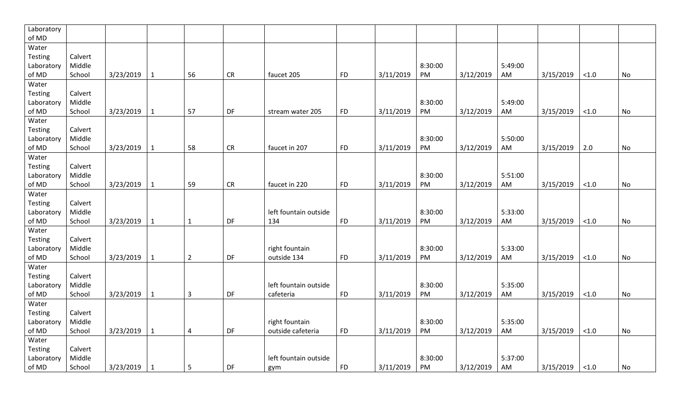| Laboratory     |         |           |              |                |           |                       |           |           |         |           |         |           |        |    |
|----------------|---------|-----------|--------------|----------------|-----------|-----------------------|-----------|-----------|---------|-----------|---------|-----------|--------|----|
| of MD          |         |           |              |                |           |                       |           |           |         |           |         |           |        |    |
| Water          |         |           |              |                |           |                       |           |           |         |           |         |           |        |    |
| Testing        | Calvert |           |              |                |           |                       |           |           |         |           |         |           |        |    |
| Laboratory     | Middle  |           |              |                |           |                       |           |           | 8:30:00 |           | 5:49:00 |           |        |    |
| of MD          | School  | 3/23/2019 | $\mathbf{1}$ | 56             | CR        | faucet 205            | <b>FD</b> | 3/11/2019 | PM      | 3/12/2019 | AM      | 3/15/2019 | < 1.0  | No |
| Water          |         |           |              |                |           |                       |           |           |         |           |         |           |        |    |
| Testing        | Calvert |           |              |                |           |                       |           |           |         |           |         |           |        |    |
| Laboratory     | Middle  |           |              |                |           |                       |           |           | 8:30:00 |           | 5:49:00 |           |        |    |
| of MD          | School  | 3/23/2019 | $\mathbf{1}$ | 57             | DF        | stream water 205      | <b>FD</b> | 3/11/2019 | PM      | 3/12/2019 | AM      | 3/15/2019 | < 1.0  | No |
| Water          |         |           |              |                |           |                       |           |           |         |           |         |           |        |    |
| Testing        | Calvert |           |              |                |           |                       |           |           |         |           |         |           |        |    |
| Laboratory     | Middle  |           |              |                |           |                       |           |           | 8:30:00 |           | 5:50:00 |           |        |    |
| of MD          | School  | 3/23/2019 | $\mathbf{1}$ | 58             | CR        | faucet in 207         | <b>FD</b> | 3/11/2019 | PM      | 3/12/2019 | AM      | 3/15/2019 | 2.0    | No |
| Water          |         |           |              |                |           |                       |           |           |         |           |         |           |        |    |
| Testing        | Calvert |           |              |                |           |                       |           |           |         |           |         |           |        |    |
| Laboratory     | Middle  |           |              |                |           |                       |           |           | 8:30:00 |           | 5:51:00 |           |        |    |
| of MD          | School  | 3/23/2019 | $\mathbf{1}$ | 59             | CR        | faucet in 220         | <b>FD</b> | 3/11/2019 | PM      | 3/12/2019 | AM      | 3/15/2019 | $<1.0$ | No |
| Water          |         |           |              |                |           |                       |           |           |         |           |         |           |        |    |
| Testing        | Calvert |           |              |                |           |                       |           |           |         |           |         |           |        |    |
| Laboratory     | Middle  |           |              |                |           | left fountain outside |           |           | 8:30:00 |           | 5:33:00 |           |        |    |
| of MD          | School  | 3/23/2019 | $\mathbf{1}$ | $\mathbf{1}$   | DF        | 134                   | <b>FD</b> | 3/11/2019 | PM      | 3/12/2019 | AM      | 3/15/2019 | $<1.0$ | No |
| Water          |         |           |              |                |           |                       |           |           |         |           |         |           |        |    |
| <b>Testing</b> | Calvert |           |              |                |           |                       |           |           |         |           |         |           |        |    |
| Laboratory     | Middle  |           |              |                |           | right fountain        |           |           | 8:30:00 |           | 5:33:00 |           |        |    |
| of MD          | School  | 3/23/2019 | $\mathbf{1}$ | $\overline{2}$ | <b>DF</b> | outside 134           | <b>FD</b> | 3/11/2019 | PM      | 3/12/2019 | AM      | 3/15/2019 | < 1.0  | No |
| Water          |         |           |              |                |           |                       |           |           |         |           |         |           |        |    |
| Testing        | Calvert |           |              |                |           |                       |           |           |         |           |         |           |        |    |
| Laboratory     | Middle  |           |              |                |           | left fountain outside |           |           | 8:30:00 |           | 5:35:00 |           |        |    |
| of MD          | School  | 3/23/2019 | $\mathbf{1}$ | $\overline{3}$ | DF        | cafeteria             | <b>FD</b> | 3/11/2019 | PM      | 3/12/2019 | AM      | 3/15/2019 | < 1.0  | No |
| Water          |         |           |              |                |           |                       |           |           |         |           |         |           |        |    |
| <b>Testing</b> | Calvert |           |              |                |           |                       |           |           |         |           |         |           |        |    |
| Laboratory     | Middle  |           |              |                |           | right fountain        |           |           | 8:30:00 |           | 5:35:00 |           |        |    |
| of MD          | School  | 3/23/2019 | $\mathbf{1}$ | $\pmb{4}$      | DF        | outside cafeteria     | <b>FD</b> | 3/11/2019 | PM      | 3/12/2019 | AM      | 3/15/2019 | $<1.0$ | No |
| Water          |         |           |              |                |           |                       |           |           |         |           |         |           |        |    |
| Testing        | Calvert |           |              |                |           |                       |           |           |         |           |         |           |        |    |
| Laboratory     | Middle  |           |              |                |           | left fountain outside |           |           | 8:30:00 |           | 5:37:00 |           |        |    |
| of MD          | School  | 3/23/2019 | 1            | 5              | DF        | gym                   | <b>FD</b> | 3/11/2019 | PM      | 3/12/2019 | AM      | 3/15/2019 | < 1.0  | No |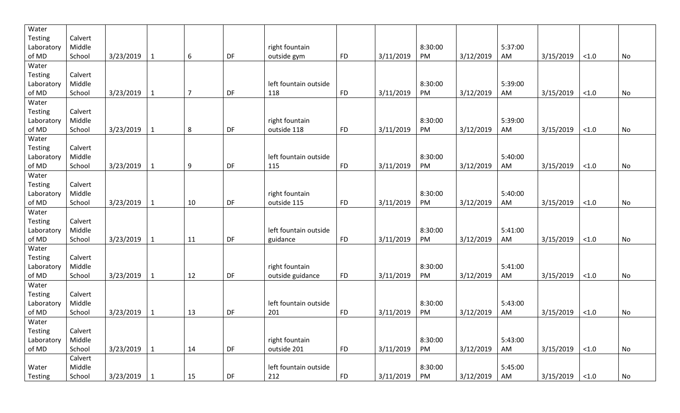| Water          |         |           |              |                |    |                       |            |           |         |           |         |           |        |    |
|----------------|---------|-----------|--------------|----------------|----|-----------------------|------------|-----------|---------|-----------|---------|-----------|--------|----|
| <b>Testing</b> | Calvert |           |              |                |    |                       |            |           |         |           |         |           |        |    |
| Laboratory     | Middle  |           |              |                |    | right fountain        |            |           | 8:30:00 |           | 5:37:00 |           |        |    |
| of MD          | School  | 3/23/2019 | $\mathbf 1$  | 6              | DF | outside gym           | <b>FD</b>  | 3/11/2019 | PM      | 3/12/2019 | AM      | 3/15/2019 | < 1.0  | No |
| Water          |         |           |              |                |    |                       |            |           |         |           |         |           |        |    |
| <b>Testing</b> | Calvert |           |              |                |    |                       |            |           |         |           |         |           |        |    |
| Laboratory     | Middle  |           |              |                |    | left fountain outside |            |           | 8:30:00 |           | 5:39:00 |           |        |    |
| of MD          | School  | 3/23/2019 | $\mathbf 1$  | $\overline{7}$ | DF | 118                   | <b>FD</b>  | 3/11/2019 | PM      | 3/12/2019 | AM      | 3/15/2019 | $<1.0$ | No |
| Water          |         |           |              |                |    |                       |            |           |         |           |         |           |        |    |
| <b>Testing</b> | Calvert |           |              |                |    |                       |            |           |         |           |         |           |        |    |
| Laboratory     | Middle  |           |              |                |    | right fountain        |            |           | 8:30:00 |           | 5:39:00 |           |        |    |
| of MD          | School  | 3/23/2019 | 1            | 8              | DF | outside 118           | <b>FD</b>  | 3/11/2019 | PM      | 3/12/2019 | AM      | 3/15/2019 | < 1.0  | No |
| Water          |         |           |              |                |    |                       |            |           |         |           |         |           |        |    |
| Testing        | Calvert |           |              |                |    |                       |            |           |         |           |         |           |        |    |
| Laboratory     | Middle  |           |              |                |    | left fountain outside |            |           | 8:30:00 |           | 5:40:00 |           |        |    |
| of MD          | School  | 3/23/2019 | 1            | 9              | DF | 115                   | <b>FD</b>  | 3/11/2019 | PM      | 3/12/2019 | AM      | 3/15/2019 | $<1.0$ | No |
| Water          |         |           |              |                |    |                       |            |           |         |           |         |           |        |    |
| Testing        | Calvert |           |              |                |    |                       |            |           |         |           |         |           |        |    |
| Laboratory     | Middle  |           |              |                |    | right fountain        |            |           | 8:30:00 |           | 5:40:00 |           |        |    |
| of MD          | School  | 3/23/2019 | 1            | 10             | DF | outside 115           | <b>FD</b>  | 3/11/2019 | PM      | 3/12/2019 | AM      | 3/15/2019 | < 1.0  | No |
| Water          |         |           |              |                |    |                       |            |           |         |           |         |           |        |    |
| <b>Testing</b> | Calvert |           |              |                |    |                       |            |           |         |           |         |           |        |    |
| Laboratory     | Middle  |           |              |                |    | left fountain outside |            |           | 8:30:00 |           | 5:41:00 |           |        |    |
| of MD          | School  | 3/23/2019 | $\mathbf{1}$ | 11             | DF | guidance              | <b>FD</b>  | 3/11/2019 | PM      | 3/12/2019 | AM      | 3/15/2019 | $<1.0$ | No |
| Water          |         |           |              |                |    |                       |            |           |         |           |         |           |        |    |
| <b>Testing</b> | Calvert |           |              |                |    |                       |            |           |         |           |         |           |        |    |
| Laboratory     | Middle  |           |              |                |    | right fountain        |            |           | 8:30:00 |           | 5:41:00 |           |        |    |
| of MD          | School  | 3/23/2019 | 1            | 12             | DF | outside guidance      | <b>FD</b>  | 3/11/2019 | PM      | 3/12/2019 | AM      | 3/15/2019 | $<1.0$ | No |
| Water          |         |           |              |                |    |                       |            |           |         |           |         |           |        |    |
| <b>Testing</b> | Calvert |           |              |                |    |                       |            |           |         |           |         |           |        |    |
| Laboratory     | Middle  |           |              |                |    | left fountain outside |            |           | 8:30:00 |           | 5:43:00 |           |        |    |
| of MD          | School  | 3/23/2019 | 1            | 13             | DF | 201                   | <b>FD</b>  | 3/11/2019 | PM      | 3/12/2019 | AM      | 3/15/2019 | < 1.0  | No |
| Water          |         |           |              |                |    |                       |            |           |         |           |         |           |        |    |
| Testing        | Calvert |           |              |                |    |                       |            |           |         |           |         |           |        |    |
| Laboratory     | Middle  |           |              |                |    | right fountain        |            |           | 8:30:00 |           | 5:43:00 |           |        |    |
| of MD          | School  | 3/23/2019 | 1            | 14             | DF | outside 201           | <b>FD</b>  | 3/11/2019 | PM      | 3/12/2019 | AM      | 3/15/2019 | $<1.0$ | No |
|                | Calvert |           |              |                |    |                       |            |           |         |           |         |           |        |    |
|                | Middle  |           |              |                |    | left fountain outside |            |           | 8:30:00 |           | 5:45:00 |           |        |    |
| Water          |         |           |              |                |    |                       |            |           |         |           |         |           |        |    |
| Testing        | School  | 3/23/2019 | $\mathbf{1}$ | 15             | DF | 212                   | ${\sf FD}$ | 3/11/2019 | PM      | 3/12/2019 | AM      | 3/15/2019 | < 1.0  | No |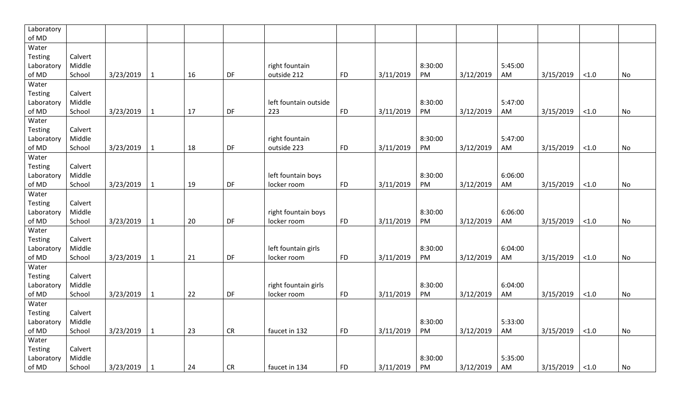| Laboratory |         |           |              |    |           |                       |           |           |         |           |         |           |          |           |
|------------|---------|-----------|--------------|----|-----------|-----------------------|-----------|-----------|---------|-----------|---------|-----------|----------|-----------|
| of MD      |         |           |              |    |           |                       |           |           |         |           |         |           |          |           |
| Water      |         |           |              |    |           |                       |           |           |         |           |         |           |          |           |
| Testing    | Calvert |           |              |    |           |                       |           |           |         |           |         |           |          |           |
| Laboratory | Middle  |           |              |    |           | right fountain        |           |           | 8:30:00 |           | 5:45:00 |           |          |           |
| of MD      | School  | 3/23/2019 | $\mathbf{1}$ | 16 | DF        | outside 212           | <b>FD</b> | 3/11/2019 | PM      | 3/12/2019 | AM      | 3/15/2019 | $<1.0$   | No        |
| Water      |         |           |              |    |           |                       |           |           |         |           |         |           |          |           |
| Testing    | Calvert |           |              |    |           |                       |           |           |         |           |         |           |          |           |
| Laboratory | Middle  |           |              |    |           | left fountain outside |           |           | 8:30:00 |           | 5:47:00 |           |          |           |
| of MD      | School  | 3/23/2019 | $\mathbf{1}$ | 17 | DF        | 223                   | <b>FD</b> | 3/11/2019 | PM      | 3/12/2019 | AM      | 3/15/2019 | $<1.0$   | No        |
| Water      |         |           |              |    |           |                       |           |           |         |           |         |           |          |           |
| Testing    | Calvert |           |              |    |           |                       |           |           |         |           |         |           |          |           |
| Laboratory | Middle  |           |              |    |           | right fountain        |           |           | 8:30:00 |           | 5:47:00 |           |          |           |
| of MD      | School  | 3/23/2019 | $\mathbf{1}$ | 18 | <b>DF</b> | outside 223           | <b>FD</b> | 3/11/2019 | PM      | 3/12/2019 | AM      | 3/15/2019 | $<1.0$   | No        |
| Water      |         |           |              |    |           |                       |           |           |         |           |         |           |          |           |
| Testing    | Calvert |           |              |    |           |                       |           |           |         |           |         |           |          |           |
| Laboratory | Middle  |           |              |    |           | left fountain boys    |           |           | 8:30:00 |           | 6:06:00 |           |          |           |
| of MD      | School  | 3/23/2019 | $\mathbf{1}$ | 19 | DF        | locker room           | <b>FD</b> | 3/11/2019 | PM      | 3/12/2019 | AM      | 3/15/2019 | $<1.0$   | No        |
| Water      |         |           |              |    |           |                       |           |           |         |           |         |           |          |           |
| Testing    | Calvert |           |              |    |           |                       |           |           |         |           |         |           |          |           |
| Laboratory | Middle  |           |              |    |           | right fountain boys   |           |           | 8:30:00 |           | 6:06:00 |           |          |           |
| of MD      | School  | 3/23/2019 | $\mathbf{1}$ | 20 | DF        | locker room           | <b>FD</b> | 3/11/2019 | PM      | 3/12/2019 | AM      | 3/15/2019 | $<1.0$   | No        |
| Water      |         |           |              |    |           |                       |           |           |         |           |         |           |          |           |
| Testing    | Calvert |           |              |    |           |                       |           |           |         |           |         |           |          |           |
| Laboratory | Middle  |           |              |    |           | left fountain girls   |           |           | 8:30:00 |           | 6:04:00 |           |          |           |
| of MD      | School  | 3/23/2019 | $\mathbf{1}$ | 21 | DF        | locker room           | <b>FD</b> | 3/11/2019 | PM      | 3/12/2019 | AM      | 3/15/2019 | $<1.0$   | No        |
| Water      |         |           |              |    |           |                       |           |           |         |           |         |           |          |           |
| Testing    | Calvert |           |              |    |           |                       |           |           |         |           |         |           |          |           |
| Laboratory | Middle  |           |              |    |           | right fountain girls  |           |           | 8:30:00 |           | 6:04:00 |           |          |           |
| of $MD$    | School  | 3/23/2019 | $\mathbf{1}$ | 22 | DF        | locker room           | <b>FD</b> | 3/11/2019 | PM      | 3/12/2019 | AM      | 3/15/2019 | ${<}1.0$ | <b>No</b> |
| Water      |         |           |              |    |           |                       |           |           |         |           |         |           |          |           |
| Testing    | Calvert |           |              |    |           |                       |           |           |         |           |         |           |          |           |
| Laboratory | Middle  |           |              |    |           |                       |           |           | 8:30:00 |           | 5:33:00 |           |          |           |
| of MD      | School  | 3/23/2019 | $1\,$        | 23 | <b>CR</b> | faucet in 132         | <b>FD</b> | 3/11/2019 | PM      | 3/12/2019 | AM      | 3/15/2019 | $<1.0$   | No        |
| Water      |         |           |              |    |           |                       |           |           |         |           |         |           |          |           |
| Testing    | Calvert |           |              |    |           |                       |           |           |         |           |         |           |          |           |
| Laboratory | Middle  |           |              |    |           |                       |           |           | 8:30:00 |           | 5:35:00 |           |          |           |
| of MD      | School  | 3/23/2019 | $\mathbf{1}$ | 24 | <b>CR</b> | faucet in 134         | <b>FD</b> | 3/11/2019 | PM      | 3/12/2019 | AM      | 3/15/2019 | < 1.0    | No        |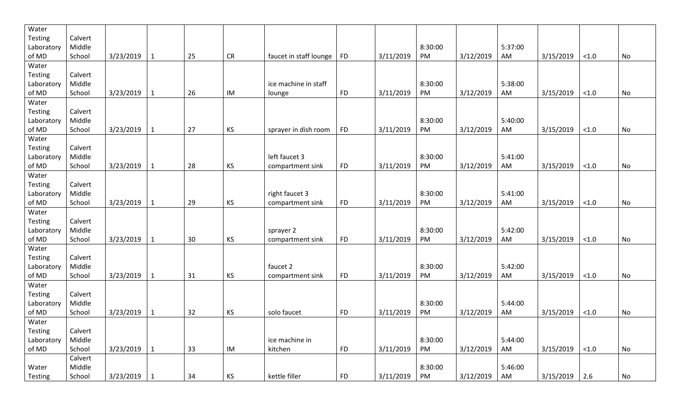| Water          |         |           |              |    |           |                        |           |           |         |           |         |           |        |    |
|----------------|---------|-----------|--------------|----|-----------|------------------------|-----------|-----------|---------|-----------|---------|-----------|--------|----|
| <b>Testing</b> | Calvert |           |              |    |           |                        |           |           |         |           |         |           |        |    |
| Laboratory     | Middle  |           |              |    |           |                        |           |           | 8:30:00 |           | 5:37:00 |           |        |    |
| of MD          | School  | 3/23/2019 | 1            | 25 | <b>CR</b> | faucet in staff lounge | <b>FD</b> | 3/11/2019 | PM      | 3/12/2019 | AM      | 3/15/2019 | < 1.0  | No |
| Water          |         |           |              |    |           |                        |           |           |         |           |         |           |        |    |
| <b>Testing</b> | Calvert |           |              |    |           |                        |           |           |         |           |         |           |        |    |
| Laboratory     | Middle  |           |              |    |           | ice machine in staff   |           |           | 8:30:00 |           | 5:38:00 |           |        |    |
| of MD          | School  | 3/23/2019 | $\mathbf{1}$ | 26 | IM        | lounge                 | <b>FD</b> | 3/11/2019 | PM      | 3/12/2019 | AM      | 3/15/2019 | $<1.0$ | No |
| Water          |         |           |              |    |           |                        |           |           |         |           |         |           |        |    |
| <b>Testing</b> | Calvert |           |              |    |           |                        |           |           |         |           |         |           |        |    |
| Laboratory     | Middle  |           |              |    |           |                        |           |           | 8:30:00 |           | 5:40:00 |           |        |    |
| of MD          | School  | 3/23/2019 | $\mathbf{1}$ | 27 | KS        | sprayer in dish room   | <b>FD</b> | 3/11/2019 | PM      | 3/12/2019 | AM      | 3/15/2019 | < 1.0  | No |
| Water          |         |           |              |    |           |                        |           |           |         |           |         |           |        |    |
| <b>Testing</b> | Calvert |           |              |    |           |                        |           |           |         |           |         |           |        |    |
| Laboratory     | Middle  |           |              |    |           | left faucet 3          |           |           | 8:30:00 |           | 5:41:00 |           |        |    |
| of MD          | School  | 3/23/2019 | 1            | 28 | KS        | compartment sink       | <b>FD</b> | 3/11/2019 | PM      | 3/12/2019 | AM      | 3/15/2019 | $<1.0$ | No |
| Water          |         |           |              |    |           |                        |           |           |         |           |         |           |        |    |
| <b>Testing</b> | Calvert |           |              |    |           |                        |           |           |         |           |         |           |        |    |
| Laboratory     | Middle  |           |              |    |           | right faucet 3         |           |           | 8:30:00 |           | 5:41:00 |           |        |    |
| of MD          | School  | 3/23/2019 | 1            | 29 | KS        | compartment sink       | <b>FD</b> | 3/11/2019 | PM      | 3/12/2019 | AM      | 3/15/2019 | $<1.0$ | No |
| Water          |         |           |              |    |           |                        |           |           |         |           |         |           |        |    |
| Testing        | Calvert |           |              |    |           |                        |           |           |         |           |         |           |        |    |
| Laboratory     | Middle  |           |              |    |           | sprayer 2              |           |           | 8:30:00 |           | 5:42:00 |           |        |    |
| of MD          | School  | 3/23/2019 |              | 30 | KS        | compartment sink       | <b>FD</b> | 3/11/2019 | PM      | 3/12/2019 | AM      | 3/15/2019 | < 1.0  | No |
| Water          |         |           |              |    |           |                        |           |           |         |           |         |           |        |    |
| Testing        | Calvert |           |              |    |           |                        |           |           |         |           |         |           |        |    |
| Laboratory     | Middle  |           |              |    |           | faucet 2               |           |           | 8:30:00 |           | 5:42:00 |           |        |    |
| of MD          | School  | 3/23/2019 | 1            | 31 | KS        | compartment sink       | <b>FD</b> | 3/11/2019 | PM      | 3/12/2019 | AM      | 3/15/2019 | < 1.0  | No |
| Water          |         |           |              |    |           |                        |           |           |         |           |         |           |        |    |
| <b>Testing</b> | Calvert |           |              |    |           |                        |           |           |         |           |         |           |        |    |
| Laboratory     | Middle  |           |              |    |           |                        |           |           | 8:30:00 |           | 5:44:00 |           |        |    |
| of MD          | School  | 3/23/2019 |              | 32 | KS        | solo faucet            | <b>FD</b> | 3/11/2019 | PM      | 3/12/2019 | AM      | 3/15/2019 | < 1.0  | No |
| Water          |         |           |              |    |           |                        |           |           |         |           |         |           |        |    |
| Testing        | Calvert |           |              |    |           |                        |           |           |         |           |         |           |        |    |
| Laboratory     | Middle  |           |              |    |           | ice machine in         |           |           | 8:30:00 |           | 5:44:00 |           |        |    |
| of MD          | School  | 3/23/2019 | $\mathbf{1}$ | 33 | IM        | kitchen                | <b>FD</b> | 3/11/2019 | PM      | 3/12/2019 | AM      | 3/15/2019 | $<1.0$ | No |
|                | Calvert |           |              |    |           |                        |           |           |         |           |         |           |        |    |
| Water          | Middle  |           |              |    |           |                        |           |           | 8:30:00 |           | 5:46:00 |           |        |    |
| Testing        | School  | 3/23/2019 | $\mathbf 1$  | 34 | KS        | kettle filler          | <b>FD</b> | 3/11/2019 | PM      | 3/12/2019 | AM      | 3/15/2019 | 2.6    | No |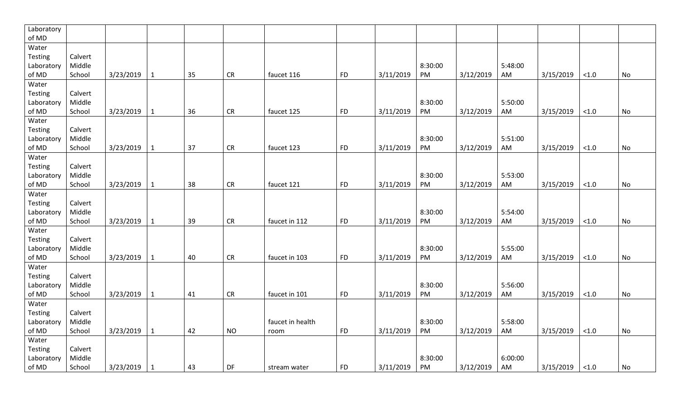| Laboratory     |         |           |              |    |           |                  |           |           |         |           |         |           |        |    |
|----------------|---------|-----------|--------------|----|-----------|------------------|-----------|-----------|---------|-----------|---------|-----------|--------|----|
| of MD          |         |           |              |    |           |                  |           |           |         |           |         |           |        |    |
| Water          |         |           |              |    |           |                  |           |           |         |           |         |           |        |    |
| Testing        | Calvert |           |              |    |           |                  |           |           |         |           |         |           |        |    |
| Laboratory     | Middle  |           |              |    |           |                  |           |           | 8:30:00 |           | 5:48:00 |           |        |    |
| of MD          | School  | 3/23/2019 | $\mathbf{1}$ | 35 | CR        | faucet 116       | <b>FD</b> | 3/11/2019 | PM      | 3/12/2019 | AM      | 3/15/2019 | < 1.0  | No |
| Water          |         |           |              |    |           |                  |           |           |         |           |         |           |        |    |
| Testing        | Calvert |           |              |    |           |                  |           |           |         |           |         |           |        |    |
| Laboratory     | Middle  |           |              |    |           |                  |           |           | 8:30:00 |           | 5:50:00 |           |        |    |
| of MD          | School  | 3/23/2019 | $\mathbf{1}$ | 36 | CR        | faucet 125       | <b>FD</b> | 3/11/2019 | PM      | 3/12/2019 | AM      | 3/15/2019 | < 1.0  | No |
| Water          |         |           |              |    |           |                  |           |           |         |           |         |           |        |    |
| Testing        | Calvert |           |              |    |           |                  |           |           |         |           |         |           |        |    |
| Laboratory     | Middle  |           |              |    |           |                  |           |           | 8:30:00 |           | 5:51:00 |           |        |    |
| of MD          | School  | 3/23/2019 | $\mathbf{1}$ | 37 | CR        | faucet 123       | <b>FD</b> | 3/11/2019 | PM      | 3/12/2019 | AM      | 3/15/2019 | $<1.0$ | No |
| Water          |         |           |              |    |           |                  |           |           |         |           |         |           |        |    |
| Testing        | Calvert |           |              |    |           |                  |           |           |         |           |         |           |        |    |
| Laboratory     | Middle  |           |              |    |           |                  |           |           | 8:30:00 |           | 5:53:00 |           |        |    |
| of MD          | School  | 3/23/2019 | $\mathbf{1}$ | 38 | <b>CR</b> | faucet 121       | <b>FD</b> | 3/11/2019 | PM      | 3/12/2019 | AM      | 3/15/2019 | < 1.0  | No |
| Water          |         |           |              |    |           |                  |           |           |         |           |         |           |        |    |
| Testing        | Calvert |           |              |    |           |                  |           |           |         |           |         |           |        |    |
| Laboratory     | Middle  |           |              |    |           |                  |           |           | 8:30:00 |           | 5:54:00 |           |        |    |
| of MD          | School  | 3/23/2019 | 1            | 39 | <b>CR</b> | faucet in 112    | <b>FD</b> | 3/11/2019 | PM      | 3/12/2019 | AM      | 3/15/2019 | $<1.0$ | No |
| Water          |         |           |              |    |           |                  |           |           |         |           |         |           |        |    |
| <b>Testing</b> | Calvert |           |              |    |           |                  |           |           |         |           |         |           |        |    |
| Laboratory     | Middle  |           |              |    |           |                  |           |           | 8:30:00 |           | 5:55:00 |           |        |    |
| of MD          | School  | 3/23/2019 | $\mathbf{1}$ | 40 | CR        | faucet in 103    | <b>FD</b> | 3/11/2019 | PM      | 3/12/2019 | AM      | 3/15/2019 | < 1.0  | No |
| Water          |         |           |              |    |           |                  |           |           |         |           |         |           |        |    |
| <b>Testing</b> | Calvert |           |              |    |           |                  |           |           |         |           |         |           |        |    |
| Laboratory     | Middle  |           |              |    |           |                  |           |           | 8:30:00 |           | 5:56:00 |           |        |    |
| of MD          | School  | 3/23/2019 | 1            | 41 | CR        | faucet in 101    | <b>FD</b> | 3/11/2019 | PM      | 3/12/2019 | AM      | 3/15/2019 | < 1.0  | No |
| Water          |         |           |              |    |           |                  |           |           |         |           |         |           |        |    |
| Testing        | Calvert |           |              |    |           |                  |           |           |         |           |         |           |        |    |
| Laboratory     | Middle  |           |              |    |           | faucet in health |           |           | 8:30:00 |           | 5:58:00 |           |        |    |
| of MD          | School  | 3/23/2019 | $\mathbf{1}$ | 42 | <b>NO</b> | room             | <b>FD</b> | 3/11/2019 | PM      | 3/12/2019 | AM      | 3/15/2019 | < 1.0  | No |
| Water          |         |           |              |    |           |                  |           |           |         |           |         |           |        |    |
| Testing        | Calvert |           |              |    |           |                  |           |           |         |           |         |           |        |    |
| Laboratory     | Middle  |           |              |    |           |                  |           |           | 8:30:00 |           | 6:00:00 |           |        |    |
| of MD          | School  | 3/23/2019 | $\mathbf{1}$ | 43 | DF        | stream water     | <b>FD</b> | 3/11/2019 | PM      | 3/12/2019 | AM      | 3/15/2019 | < 1.0  | No |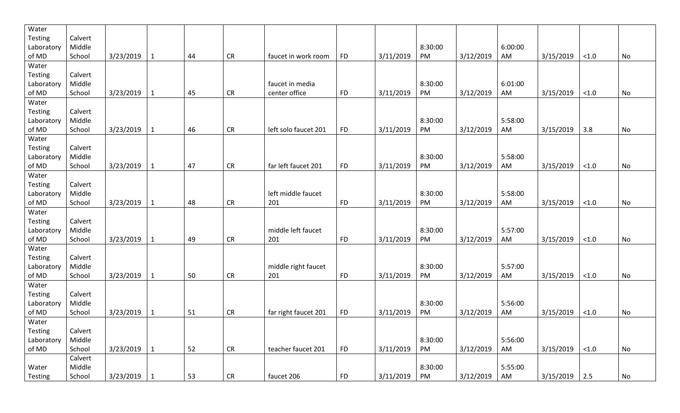| Water          |         |           |              |    |           |                      |            |           |         |           |         |           |        |    |
|----------------|---------|-----------|--------------|----|-----------|----------------------|------------|-----------|---------|-----------|---------|-----------|--------|----|
| <b>Testing</b> | Calvert |           |              |    |           |                      |            |           |         |           |         |           |        |    |
| Laboratory     | Middle  |           |              |    |           |                      |            |           | 8:30:00 |           | 6:00:00 |           |        |    |
| of MD          | School  | 3/23/2019 | 1            | 44 | <b>CR</b> | faucet in work room  | <b>FD</b>  | 3/11/2019 | PM      | 3/12/2019 | AM      | 3/15/2019 | < 1.0  | No |
| Water          |         |           |              |    |           |                      |            |           |         |           |         |           |        |    |
| <b>Testing</b> | Calvert |           |              |    |           |                      |            |           |         |           |         |           |        |    |
| Laboratory     | Middle  |           |              |    |           | faucet in media      |            |           | 8:30:00 |           | 6:01:00 |           |        |    |
| of MD          | School  | 3/23/2019 | $\mathbf{1}$ | 45 | <b>CR</b> | center office        | <b>FD</b>  | 3/11/2019 | PM      | 3/12/2019 | AM      | 3/15/2019 | $<1.0$ | No |
| Water          |         |           |              |    |           |                      |            |           |         |           |         |           |        |    |
| <b>Testing</b> | Calvert |           |              |    |           |                      |            |           |         |           |         |           |        |    |
| Laboratory     | Middle  |           |              |    |           |                      |            |           | 8:30:00 |           | 5:58:00 |           |        |    |
| of MD          | School  | 3/23/2019 | $\mathbf{1}$ | 46 | <b>CR</b> | left solo faucet 201 | <b>FD</b>  | 3/11/2019 | PM      | 3/12/2019 | AM      | 3/15/2019 | 3.8    | No |
| Water          |         |           |              |    |           |                      |            |           |         |           |         |           |        |    |
| <b>Testing</b> | Calvert |           |              |    |           |                      |            |           |         |           |         |           |        |    |
| Laboratory     | Middle  |           |              |    |           |                      |            |           | 8:30:00 |           | 5:58:00 |           |        |    |
| of MD          | School  | 3/23/2019 | $\mathbf{1}$ | 47 | <b>CR</b> | far left faucet 201  | <b>FD</b>  | 3/11/2019 | PM      | 3/12/2019 | AM      | 3/15/2019 | < 1.0  | No |
| Water          |         |           |              |    |           |                      |            |           |         |           |         |           |        |    |
| <b>Testing</b> | Calvert |           |              |    |           |                      |            |           |         |           |         |           |        |    |
| Laboratory     | Middle  |           |              |    |           | left middle faucet   |            |           | 8:30:00 |           | 5:58:00 |           |        |    |
| of MD          | School  | 3/23/2019 | 1            | 48 | <b>CR</b> | 201                  | <b>FD</b>  | 3/11/2019 | PM      | 3/12/2019 | AM      | 3/15/2019 | < 1.0  | No |
| Water          |         |           |              |    |           |                      |            |           |         |           |         |           |        |    |
| Testing        | Calvert |           |              |    |           |                      |            |           |         |           |         |           |        |    |
| Laboratory     | Middle  |           |              |    |           | middle left faucet   |            |           | 8:30:00 |           | 5:57:00 |           |        |    |
| of MD          | School  | 3/23/2019 | 1            | 49 | <b>CR</b> | 201                  | <b>FD</b>  | 3/11/2019 | PM      | 3/12/2019 | AM      | 3/15/2019 | < 1.0  | No |
| Water          |         |           |              |    |           |                      |            |           |         |           |         |           |        |    |
| Testing        | Calvert |           |              |    |           |                      |            |           |         |           |         |           |        |    |
| Laboratory     | Middle  |           |              |    |           | middle right faucet  |            |           | 8:30:00 |           | 5:57:00 |           |        |    |
| of MD          | School  | 3/23/2019 | 1            | 50 | <b>CR</b> | 201                  | <b>FD</b>  | 3/11/2019 | PM      | 3/12/2019 | AM      | 3/15/2019 | < 1.0  | No |
| Water          |         |           |              |    |           |                      |            |           |         |           |         |           |        |    |
| <b>Testing</b> | Calvert |           |              |    |           |                      |            |           |         |           |         |           |        |    |
| Laboratory     | Middle  |           |              |    |           |                      |            |           | 8:30:00 |           | 5:56:00 |           |        |    |
| of MD          | School  | 3/23/2019 | 1            | 51 | <b>CR</b> | far right faucet 201 | <b>FD</b>  | 3/11/2019 | PM      | 3/12/2019 | AM      | 3/15/2019 | < 1.0  | No |
| Water          |         |           |              |    |           |                      |            |           |         |           |         |           |        |    |
| Testing        | Calvert |           |              |    |           |                      |            |           |         |           |         |           |        |    |
| Laboratory     | Middle  |           |              |    |           |                      |            |           | 8:30:00 |           | 5:56:00 |           |        |    |
| of MD          | School  | 3/23/2019 | $\mathbf{1}$ | 52 | CR        | teacher faucet 201   | <b>FD</b>  | 3/11/2019 | PM      | 3/12/2019 | AM      | 3/15/2019 | $<1.0$ | No |
|                | Calvert |           |              |    |           |                      |            |           |         |           |         |           |        |    |
| Water          | Middle  |           |              |    |           |                      |            |           | 8:30:00 |           | 5:55:00 |           |        |    |
| Testing        | School  | 3/23/2019 | $\mathbf 1$  | 53 | CR        | faucet 206           | ${\sf FD}$ | 3/11/2019 | PM      | 3/12/2019 | AM      | 3/15/2019 | 2.5    | No |